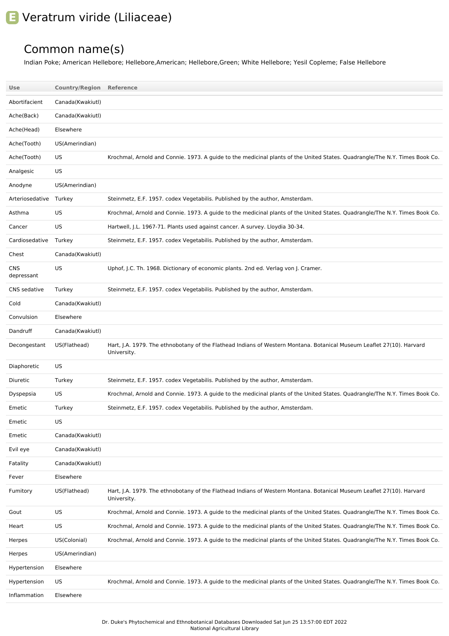## **E** Veratrum viride (Liliaceae)

## Common name(s)

Indian Poke; American Hellebore; Hellebore,American; Hellebore,Green; White Hellebore; Yesil Copleme; False Hellebore

| Use                      | <b>Country/Region Reference</b> |                                                                                                                                      |
|--------------------------|---------------------------------|--------------------------------------------------------------------------------------------------------------------------------------|
| Abortifacient            | Canada(Kwakiutl)                |                                                                                                                                      |
| Ache(Back)               | Canada(Kwakiutl)                |                                                                                                                                      |
| Ache(Head)               | Elsewhere                       |                                                                                                                                      |
| Ache(Tooth)              | US(Amerindian)                  |                                                                                                                                      |
| Ache(Tooth)              | US                              | Krochmal, Arnold and Connie. 1973. A guide to the medicinal plants of the United States. Quadrangle/The N.Y. Times Book Co.          |
| Analgesic                | US                              |                                                                                                                                      |
| Anodyne                  | US(Amerindian)                  |                                                                                                                                      |
| Arteriosedative Turkey   |                                 | Steinmetz, E.F. 1957. codex Vegetabilis. Published by the author, Amsterdam.                                                         |
| Asthma                   | US                              | Krochmal, Arnold and Connie. 1973. A guide to the medicinal plants of the United States. Quadrangle/The N.Y. Times Book Co.          |
| Cancer                   | US                              | Hartwell, J.L. 1967-71. Plants used against cancer. A survey. Lloydia 30-34.                                                         |
| Cardiosedative           | Turkey                          | Steinmetz, E.F. 1957. codex Vegetabilis. Published by the author, Amsterdam.                                                         |
| Chest                    | Canada(Kwakiutl)                |                                                                                                                                      |
| <b>CNS</b><br>depressant | US                              | Uphof, J.C. Th. 1968. Dictionary of economic plants. 2nd ed. Verlag von J. Cramer.                                                   |
| CNS sedative             | Turkey                          | Steinmetz, E.F. 1957. codex Vegetabilis. Published by the author, Amsterdam.                                                         |
| Cold                     | Canada(Kwakiutl)                |                                                                                                                                      |
| Convulsion               | Elsewhere                       |                                                                                                                                      |
| Dandruff                 | Canada(Kwakiutl)                |                                                                                                                                      |
| Decongestant             | US(Flathead)                    | Hart, J.A. 1979. The ethnobotany of the Flathead Indians of Western Montana. Botanical Museum Leaflet 27(10). Harvard<br>University. |
| Diaphoretic              | US                              |                                                                                                                                      |
| Diuretic                 | Turkey                          | Steinmetz, E.F. 1957. codex Vegetabilis. Published by the author, Amsterdam.                                                         |
| Dyspepsia                | US                              | Krochmal, Arnold and Connie. 1973. A guide to the medicinal plants of the United States. Quadrangle/The N.Y. Times Book Co.          |
| Emetic                   | Turkey                          | Steinmetz, E.F. 1957. codex Vegetabilis. Published by the author, Amsterdam.                                                         |
| Emetic                   | US                              |                                                                                                                                      |
| Emetic                   | Canada(Kwakiutl)                |                                                                                                                                      |
| Evil eye                 | Canada(Kwakiutl)                |                                                                                                                                      |
| Fatality                 | Canada(Kwakiutl)                |                                                                                                                                      |
| Fever                    | Elsewhere                       |                                                                                                                                      |
| Fumitory                 | US(Flathead)                    | Hart, J.A. 1979. The ethnobotany of the Flathead Indians of Western Montana. Botanical Museum Leaflet 27(10). Harvard<br>University. |
| Gout                     | US                              | Krochmal, Arnold and Connie. 1973. A guide to the medicinal plants of the United States. Quadrangle/The N.Y. Times Book Co.          |
| Heart                    | US                              | Krochmal, Arnold and Connie. 1973. A guide to the medicinal plants of the United States. Quadrangle/The N.Y. Times Book Co.          |
| Herpes                   | US(Colonial)                    | Krochmal, Arnold and Connie. 1973. A guide to the medicinal plants of the United States. Quadrangle/The N.Y. Times Book Co.          |
| Herpes                   | US(Amerindian)                  |                                                                                                                                      |
| Hypertension             | Elsewhere                       |                                                                                                                                      |
| Hypertension             | US                              | Krochmal, Arnold and Connie. 1973. A guide to the medicinal plants of the United States. Quadrangle/The N.Y. Times Book Co.          |
| Inflammation             | Elsewhere                       |                                                                                                                                      |